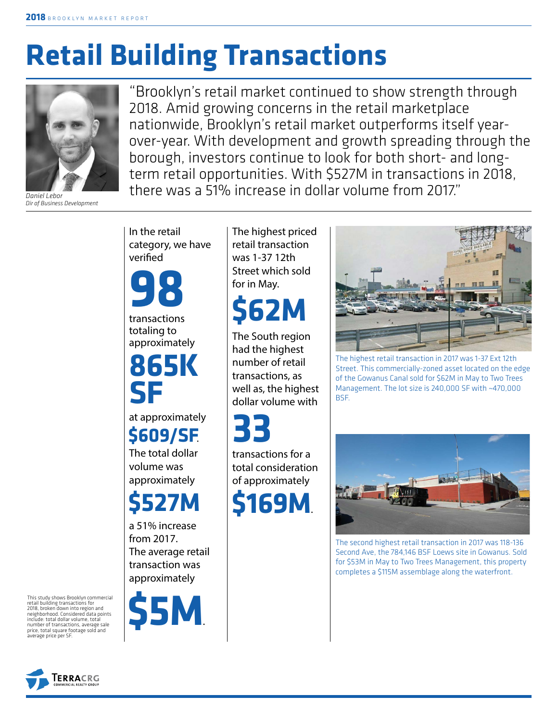# **Retail Building Transactions**



*Daniel Lebor Dir of Business Development*

"Brooklyn's retail market continued to show strength through 2018. Amid growing concerns in the retail marketplace nationwide, Brooklyn's retail market outperforms itself yearover-year. With development and growth spreading through the borough, investors continue to look for both short- and longterm retail opportunities. With \$527M in transactions in 2018, there was a 51% increase in dollar volume from 2017."

In the retail category, we have verified

transactions **98**

totaling to approximately

**865K SF**

at approximately

The total dollar volume was approximately **\$609/SF**.

## **\$527M**

a 51% increase from 2017. The average retail transaction was approximately



The highest priced retail transaction was 1-37 12th Street which sold for in May.

## **\$62M**

The South region had the highest number of retail transactions, as well as, the highest dollar volume with

**33**

transactions for a total consideration of approximately





The highest retail transaction in 2017 was 1-37 Ext 12th Street. This commercially-zoned asset located on the edge of the Gowanus Canal sold for \$62M in May to Two Trees Management. The lot size is 240,000 SF with ~470,000 BSF.



The second highest retail transaction in 2017 was 118-136 Second Ave, the 784,146 BSF Loews site in Gowanus. Sold for \$53M in May to Two Trees Management, this property completes a \$115M assemblage along the waterfront.

This study shows Brooklyn commercial retail building transactions for 2018, broken down into region and neighborhood. Considered data points include: total dollar volume, total number of transactions, average sale price, total square footage sold and average price per SF.

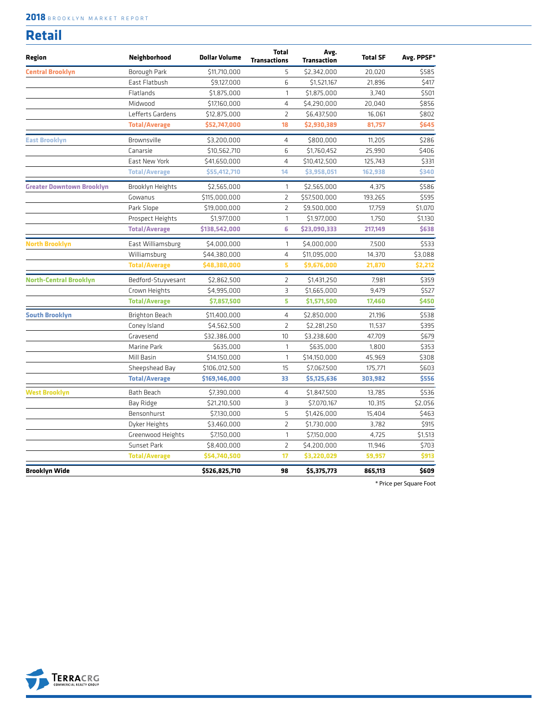#### **2018** BROOKLYN MARKET REPORT

| w<br>۰, |  |
|---------|--|
|         |  |

| Region                           | Neighborhood         | <b>Dollar Volume</b> | <b>Total</b><br><b>Transactions</b> | Avg.<br>Transaction | <b>Total SF</b> | Avg. PPSF* |
|----------------------------------|----------------------|----------------------|-------------------------------------|---------------------|-----------------|------------|
| <b>Central Brooklyn</b>          | Borough Park         | \$11,710,000         | 5                                   | \$2,342,000         | 20,020          | \$585      |
|                                  | East Flatbush        | \$9,127,000          | 6                                   | \$1,521,167         | 21,896          | \$417      |
|                                  | Flatlands            | \$1,875,000          | $\mathbf{1}$                        | \$1,875,000         | 3,740           | \$501      |
|                                  | Midwood              | \$17,160,000         | 4                                   | \$4,290,000         | 20,040          | \$856      |
|                                  | Lefferts Gardens     | \$12,875,000         | $\overline{2}$                      | \$6,437,500         | 16,061          | \$802      |
|                                  | <b>Total/Average</b> | \$52,747,000         | 18                                  | \$2,930,389         | 81,757          | \$645      |
| <b>East Brooklyn</b>             | Brownsville          | \$3,200,000          | $\overline{4}$                      | \$800,000           | 11,205          | \$286      |
|                                  | Canarsie             | \$10,562,710         | 6                                   | \$1,760,452         | 25,990          | \$406      |
|                                  | East New York        | \$41,650,000         | $\overline{4}$                      | \$10,412,500        | 125,743         | \$331      |
|                                  | <b>Total/Average</b> | \$55,412,710         | 14                                  | \$3,958,051         | 162,938         | \$340      |
| <b>Greater Downtown Brooklyn</b> | Brooklyn Heights     | \$2,565,000          | $\mathbf{1}$                        | \$2,565,000         | 4,375           | \$586      |
|                                  | Gowanus              | \$115,000,000        | $\overline{2}$                      | \$57,500,000        | 193.265         | \$595      |
|                                  | Park Slope           | \$19,000,000         | $\overline{2}$                      | \$9,500,000         | 17,759          | \$1,070    |
|                                  | Prospect Heights     | \$1,977,000          | $\mathbf{1}$                        | \$1,977,000         | 1,750           | \$1,130    |
|                                  | <b>Total/Average</b> | \$138,542,000        | 6                                   | \$23,090,333        | 217,149         | \$638      |
| <b>North Brooklyn</b>            | East Williamsburg    | \$4,000,000          | $\mathbf{1}$                        | \$4,000,000         | 7.500           | \$533      |
|                                  | Williamsburg         | \$44,380,000         | $\overline{4}$                      | \$11,095,000        | 14,370          | \$3,088    |
|                                  | <b>Total/Average</b> | \$48,380,000         | 5                                   | \$9,676,000         | 21,870          | \$2,212    |
| <b>North-Central Brooklyn</b>    | Bedford-Stuyvesant   | \$2,862,500          | $\overline{2}$                      | \$1,431,250         | 7,981           | \$359      |
|                                  | Crown Heights        | \$4,995,000          | 3                                   | \$1,665,000         | 9,479           | \$527      |
|                                  | <b>Total/Average</b> | \$7,857,500          | 5                                   | \$1,571,500         | 17,460          | \$450      |
| <b>South Brooklyn</b>            | Brighton Beach       | \$11,400,000         | $\overline{4}$                      | \$2,850,000         | 21,196          | \$538      |
|                                  | Coney Island         | \$4,562,500          | $\overline{2}$                      | \$2,281,250         | 11,537          | \$395      |
|                                  | Gravesend            | \$32,386,000         | 10                                  | \$3,238,600         | 47,709          | \$679      |
|                                  | Marine Park          | \$635,000            | $\mathbf{1}$                        | \$635,000           | 1,800           | \$353      |
|                                  | Mill Basin           | \$14,150,000         | $\mathbf{1}$                        | \$14,150,000        | 45,969          | \$308      |
|                                  | Sheepshead Bay       | \$106,012,500        | 15                                  | \$7,067,500         | 175,771         | \$603      |
|                                  | <b>Total/Average</b> | \$169,146,000        | 33                                  | \$5,125,636         | 303,982         | \$556      |
| <b>West Brooklyn</b>             | Bath Beach           | \$7,390,000          | $\overline{4}$                      | \$1,847,500         | 13,785          | \$536      |
|                                  | Bay Ridge            | \$21,210,500         | 3                                   | \$7,070,167         | 10.315          | \$2,056    |
|                                  | Bensonhurst          | \$7,130,000          | 5                                   | \$1,426,000         | 15,404          | \$463      |
|                                  | Dyker Heights        | \$3,460,000          | $\overline{2}$                      | \$1,730,000         | 3,782           | \$915      |
|                                  | Greenwood Heights    | \$7,150,000          | $\mathbf{1}$                        | \$7,150,000         | 4,725           | \$1,513    |
|                                  | Sunset Park          | \$8,400,000          | $\overline{2}$                      | \$4,200,000         | 11,946          | \$703      |
|                                  | <b>Total/Average</b> | \$54,740,500         | 17                                  | \$3,220,029         | 59,957          | \$913      |
| Brooklyn Wide                    |                      | \$526,825,710        | 98                                  | \$5,375,773         | 865,113         | \$609      |

\* Price per Square Foot